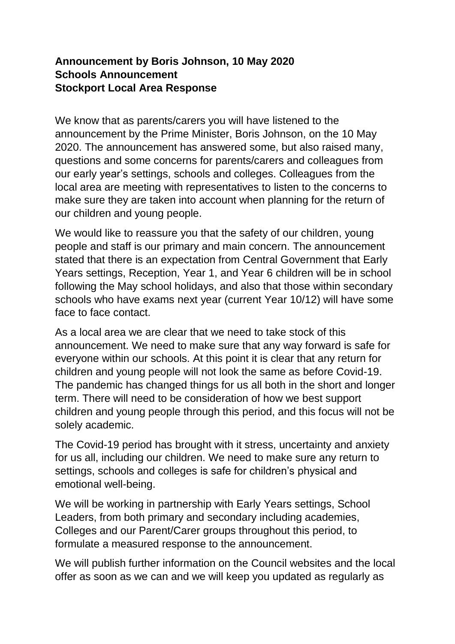## **Announcement by Boris Johnson, 10 May 2020 Schools Announcement Stockport Local Area Response**

We know that as parents/carers you will have listened to the announcement by the Prime Minister, Boris Johnson, on the 10 May 2020. The announcement has answered some, but also raised many, questions and some concerns for parents/carers and colleagues from our early year's settings, schools and colleges. Colleagues from the local area are meeting with representatives to listen to the concerns to make sure they are taken into account when planning for the return of our children and young people.

We would like to reassure you that the safety of our children, young people and staff is our primary and main concern. The announcement stated that there is an expectation from Central Government that Early Years settings, Reception, Year 1, and Year 6 children will be in school following the May school holidays, and also that those within secondary schools who have exams next year (current Year 10/12) will have some face to face contact.

As a local area we are clear that we need to take stock of this announcement. We need to make sure that any way forward is safe for everyone within our schools. At this point it is clear that any return for children and young people will not look the same as before Covid-19. The pandemic has changed things for us all both in the short and longer term. There will need to be consideration of how we best support children and young people through this period, and this focus will not be solely academic.

The Covid-19 period has brought with it stress, uncertainty and anxiety for us all, including our children. We need to make sure any return to settings, schools and colleges is safe for children's physical and emotional well-being.

We will be working in partnership with Early Years settings, School Leaders, from both primary and secondary including academies, Colleges and our Parent/Carer groups throughout this period, to formulate a measured response to the announcement.

We will publish further information on the Council websites and the local offer as soon as we can and we will keep you updated as regularly as